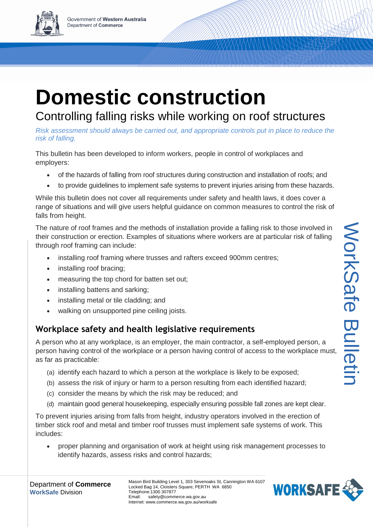# **Domestic construction**

Controlling falling risks while working on roof structures *Risk assessment should always be carried out, and appropriate controls put in place to reduce the*

*risk of falling.*

This bulletin has been developed to inform workers, people in control of workplaces and employers:

- of the hazards of falling from roof structures during construction and installation of roofs; and
- to provide guidelines to implement safe systems to prevent injuries arising from these hazards.

While this bulletin does not cover all requirements under safety and health laws, it does cover a range of situations and will give users helpful guidance on common measures to control the risk of falls from height.

The nature of roof frames and the methods of installation provide a falling risk to those involved in their construction or erection. Examples of situations where workers are at particular risk of falling through roof framing can include:

- installing roof framing where trusses and rafters exceed 900mm centres;
- installing roof bracing;
- measuring the top chord for batten set out;
- installing battens and sarking;
- installing metal or tile cladding; and
- walking on unsupported pine ceiling joists.

# **Workplace safety and health legislative requirements**

A person who at any workplace, is an employer, the main contractor, a self-employed person, a person having control of the workplace or a person having control of access to the workplace must, as far as practicable:

- (a) identify each hazard to which a person at the workplace is likely to be exposed;
- (b) assess the risk of injury or harm to a person resulting from each identified hazard;
- (c) consider the means by which the risk may be reduced; and
- (d) maintain good general housekeeping, especially ensuring possible fall zones are kept clear.

To prevent injuries arising from falls from height, industry operators involved in the erection of timber stick roof and metal and timber roof trusses must implement safe systems of work. This includes:

 proper planning and organisation of work at height using risk management processes to identify hazards, assess risks and control hazards;



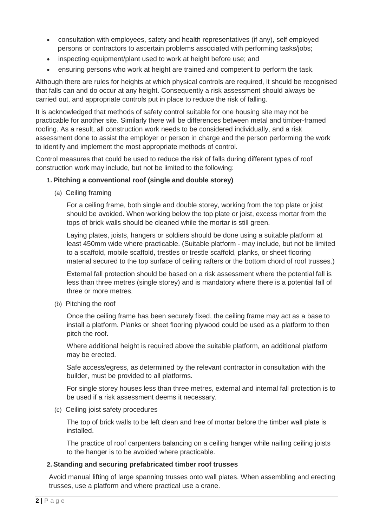- consultation with employees, safety and health representatives (if any), self employed persons or contractors to ascertain problems associated with performing tasks/jobs;
- inspecting equipment/plant used to work at height before use; and
- ensuring persons who work at height are trained and competent to perform the task.

Although there are rules for heights at which physical controls are required, it should be recognised that falls can and do occur at any height. Consequently a risk assessment should always be carried out, and appropriate controls put in place to reduce the risk of falling.

It is acknowledged that methods of safety control suitable for one housing site may not be practicable for another site. Similarly there will be differences between metal and timber-framed roofing. As a result, all construction work needs to be considered individually, and a risk assessment done to assist the employer or person in charge and the person performing the work to identify and implement the most appropriate methods of control.

Control measures that could be used to reduce the risk of falls during different types of roof construction work may include, but not be limited to the following:

# **1. Pitching a conventional roof (single and double storey)**

(a) Ceiling framing

For a ceiling frame, both single and double storey, working from the top plate or joist should be avoided. When working below the top plate or joist, excess mortar from the tops of brick walls should be cleaned while the mortar is still green.

Laying plates, joists, hangers or soldiers should be done using a suitable platform at least 450mm wide where practicable. (Suitable platform - may include, but not be limited to a scaffold, mobile scaffold, trestles or trestle scaffold, planks, or sheet flooring material secured to the top surface of ceiling rafters or the bottom chord of roof trusses.)

External fall protection should be based on a risk assessment where the potential fall is less than three metres (single storey) and is mandatory where there is a potential fall of three or more metres.

(b) Pitching the roof

Once the ceiling frame has been securely fixed, the ceiling frame may act as a base to install a platform. Planks or sheet flooring plywood could be used as a platform to then pitch the roof.

Where additional height is required above the suitable platform, an additional platform may be erected.

Safe access/egress, as determined by the relevant contractor in consultation with the builder, must be provided to all platforms.

For single storey houses less than three metres, external and internal fall protection is to be used if a risk assessment deems it necessary.

(c) Ceiling joist safety procedures

The top of brick walls to be left clean and free of mortar before the timber wall plate is installed.

The practice of roof carpenters balancing on a ceiling hanger while nailing ceiling joists to the hanger is to be avoided where practicable.

#### **2. Standing and securing prefabricated timber roof trusses**

Avoid manual lifting of large spanning trusses onto wall plates. When assembling and erecting trusses, use a platform and where practical use a crane.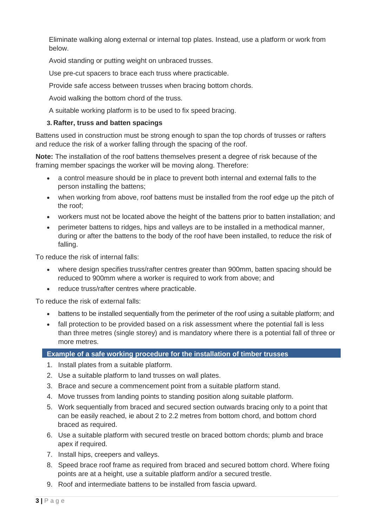Eliminate walking along external or internal top plates. Instead, use a platform or work from below.

Avoid standing or putting weight on unbraced trusses.

Use pre-cut spacers to brace each truss where practicable.

Provide safe access between trusses when bracing bottom chords.

Avoid walking the bottom chord of the truss.

A suitable working platform is to be used to fix speed bracing.

# **3. Rafter, truss and batten spacings**

Battens used in construction must be strong enough to span the top chords of trusses or rafters and reduce the risk of a worker falling through the spacing of the roof.

**Note:** The installation of the roof battens themselves present a degree of risk because of the framing member spacings the worker will be moving along. Therefore:

- a control measure should be in place to prevent both internal and external falls to the person installing the battens;
- when working from above, roof battens must be installed from the roof edge up the pitch of the roof;
- workers must not be located above the height of the battens prior to batten installation; and
- perimeter battens to ridges, hips and valleys are to be installed in a methodical manner, during or after the battens to the body of the roof have been installed, to reduce the risk of falling.

To reduce the risk of internal falls:

- where design specifies truss/rafter centres greater than 900mm, batten spacing should be reduced to 900mm where a worker is required to work from above; and
- reduce truss/rafter centres where practicable.

To reduce the risk of external falls:

- battens to be installed sequentially from the perimeter of the roof using a suitable platform; and
- fall protection to be provided based on a risk assessment where the potential fall is less than three metres (single storey) and is mandatory where there is a potential fall of three or more metres.

## **Example of a safe working procedure for the installation of timber trusses**

- 1. Install plates from a suitable platform.
- 2. Use a suitable platform to land trusses on wall plates.
- 3. Brace and secure a commencement point from a suitable platform stand.
- 4. Move trusses from landing points to standing position along suitable platform.
- 5. Work sequentially from braced and secured section outwards bracing only to a point that can be easily reached, ie about 2 to 2.2 metres from bottom chord, and bottom chord braced as required.
- 6. Use a suitable platform with secured trestle on braced bottom chords; plumb and brace apex if required.
- 7. Install hips, creepers and valleys.
- 8. Speed brace roof frame as required from braced and secured bottom chord. Where fixing points are at a height, use a suitable platform and/or a secured trestle.
- 9. Roof and intermediate battens to be installed from fascia upward.